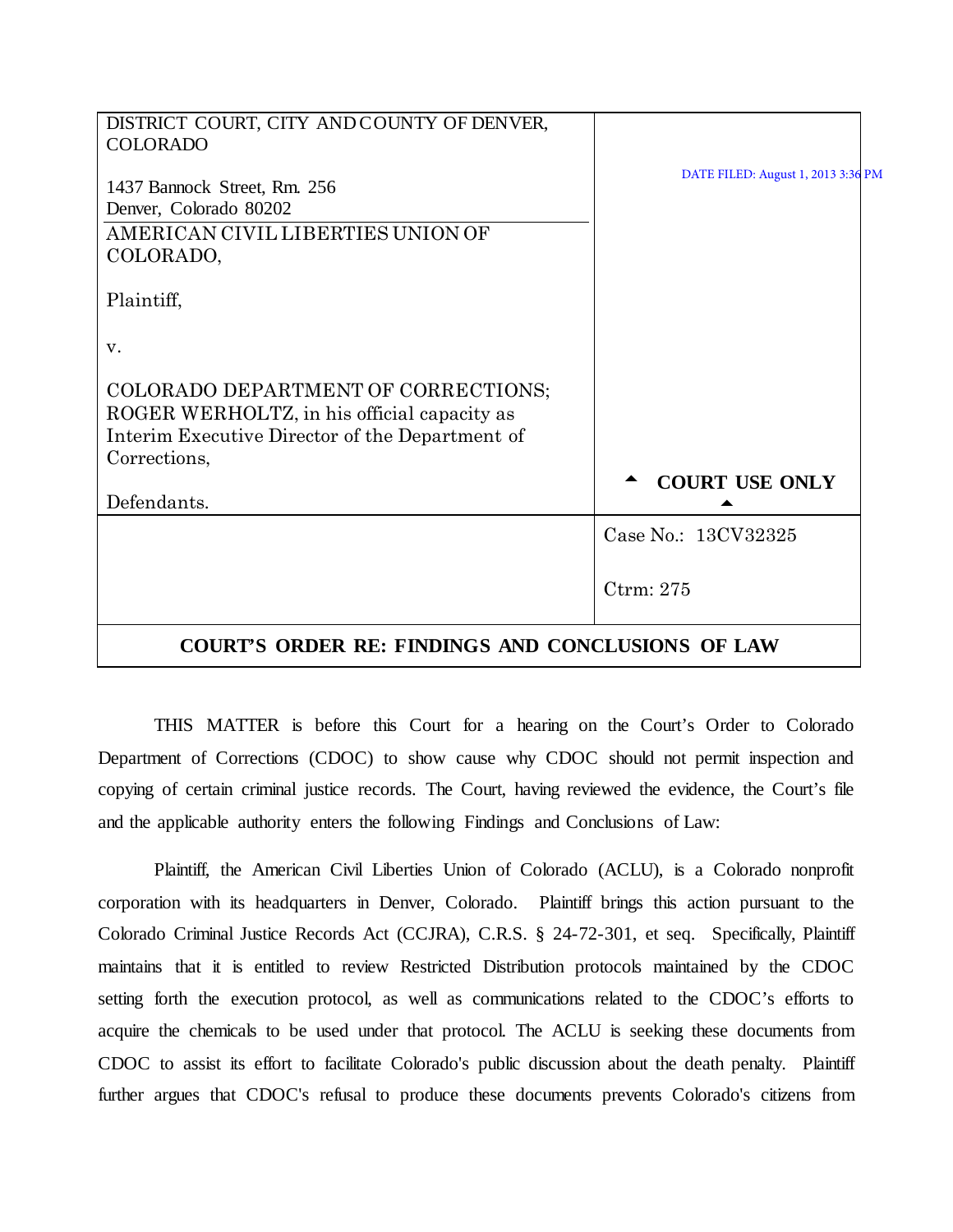| DISTRICT COURT, CITY AND COUNTY OF DENVER,                                                                                                            |                                    |
|-------------------------------------------------------------------------------------------------------------------------------------------------------|------------------------------------|
| <b>COLORADO</b>                                                                                                                                       |                                    |
| 1437 Bannock Street, Rm. 256<br>Denver, Colorado 80202<br>AMERICAN CIVIL LIBERTIES UNION OF<br>COLORADO,                                              | DATE FILED: August 1, 2013 3:36 PM |
| Plaintiff,                                                                                                                                            |                                    |
| V.                                                                                                                                                    |                                    |
| COLORADO DEPARTMENT OF CORRECTIONS;<br>ROGER WERHOLTZ, in his official capacity as<br>Interim Executive Director of the Department of<br>Corrections, |                                    |
| Defendants.                                                                                                                                           | <b>COURT USE ONLY</b>              |
|                                                                                                                                                       | Case No.: 13CV32325                |
|                                                                                                                                                       | Ctrm: 275                          |
| $\alpha$ atintyc<br>ADDED DE EINDINGS                                                                                                                 | AND CONCLUSIONS OF LAW             |

# **COURT'S ORDER RE: FINDINGS AND CONCLUSIONS OF LAW**

THIS MATTER is before this Court for a hearing on the Court's Order to Colorado Department of Corrections (CDOC) to show cause why CDOC should not permit inspection and copying of certain criminal justice records. The Court, having reviewed the evidence, the Court's file and the applicable authority enters the following Findings and Conclusions of Law:

Plaintiff, the American Civil Liberties Union of Colorado (ACLU), is a Colorado nonprofit corporation with its headquarters in Denver, Colorado. Plaintiff brings this action pursuant to the Colorado Criminal Justice Records Act (CCJRA), C.R.S. § 24-72-301, et seq. Specifically, Plaintiff maintains that it is entitled to review Restricted Distribution protocols maintained by the CDOC setting forth the execution protocol, as well as communications related to the CDOC's efforts to acquire the chemicals to be used under that protocol. The ACLU is seeking these documents from CDOC to assist its effort to facilitate Colorado's public discussion about the death penalty. Plaintiff further argues that CDOC's refusal to produce these documents prevents Colorado's citizens from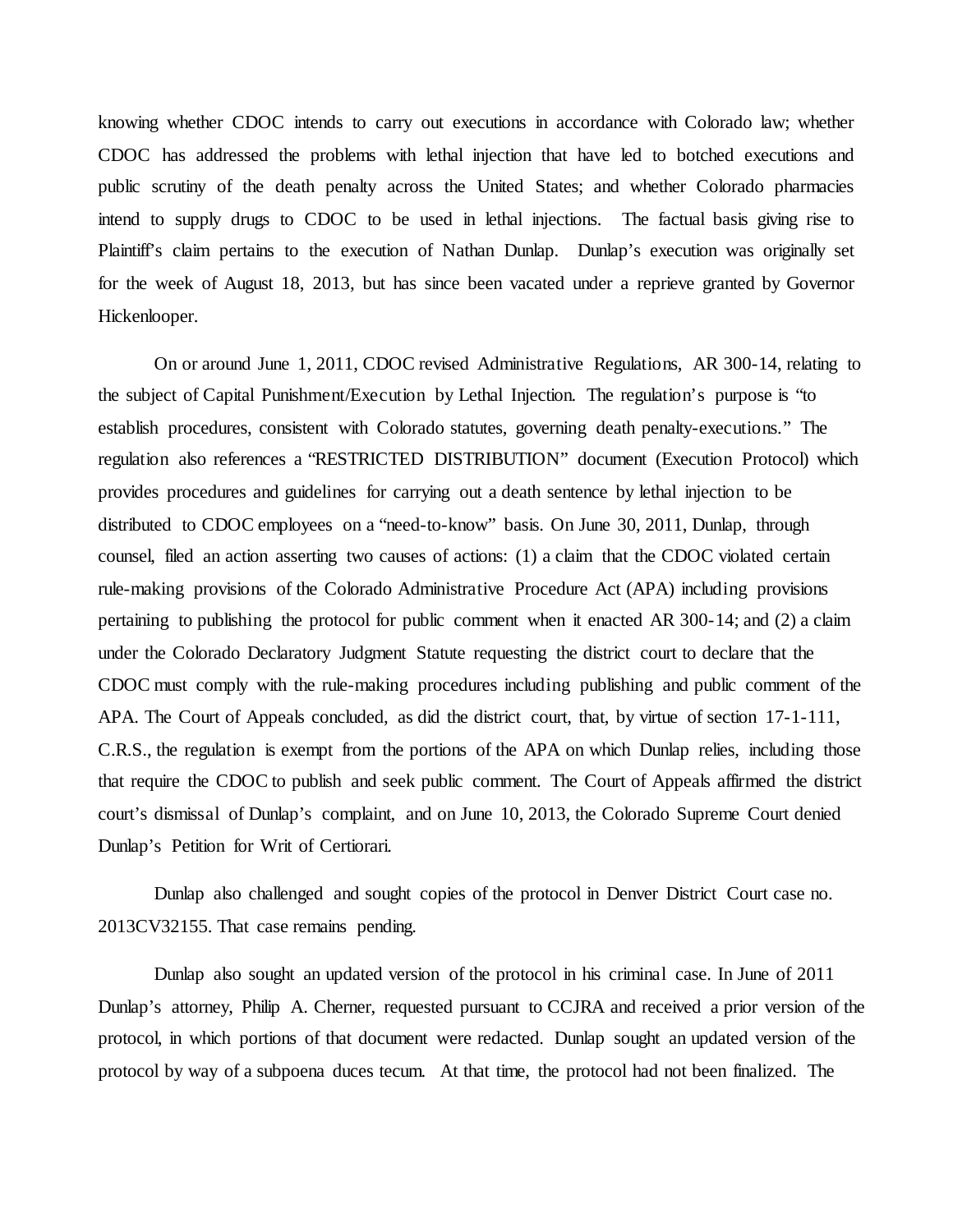knowing whether CDOC intends to carry out executions in accordance with Colorado law; whether CDOC has addressed the problems with lethal injection that have led to botched executions and public scrutiny of the death penalty across the United States; and whether Colorado pharmacies intend to supply drugs to CDOC to be used in lethal injections. The factual basis giving rise to Plaintiff's claim pertains to the execution of Nathan Dunlap. Dunlap's execution was originally set for the week of August 18, 2013, but has since been vacated under a reprieve granted by Governor Hickenlooper.

On or around June 1, 2011, CDOC revised Administrative Regulations, AR 300-14, relating to the subject of Capital Punishment/Execution by Lethal Injection. The regulation's purpose is "to establish procedures, consistent with Colorado statutes, governing death penalty-executions." The regulation also references a "RESTRICTED DISTRIBUTION" document (Execution Protocol) which provides procedures and guidelines for carrying out a death sentence by lethal injection to be distributed to CDOC employees on a "need-to-know" basis. On June 30, 2011, Dunlap, through counsel, filed an action asserting two causes of actions: (1) a claim that the CDOC violated certain rule-making provisions of the Colorado Administrative Procedure Act (APA) including provisions pertaining to publishing the protocol for public comment when it enacted AR 300-14; and (2) a claim under the Colorado Declaratory Judgment Statute requesting the district court to declare that the CDOC must comply with the rule-making procedures including publishing and public comment of the APA. The Court of Appeals concluded, as did the district court, that, by virtue of section 17-1-111, C.R.S., the regulation is exempt from the portions of the APA on which Dunlap relies, including those that require the CDOC to publish and seek public comment. The Court of Appeals affirmed the district court's dismissal of Dunlap's complaint, and on June 10, 2013, the Colorado Supreme Court denied Dunlap's Petition for Writ of Certiorari.

Dunlap also challenged and sought copies of the protocol in Denver District Court case no. 2013CV32155. That case remains pending.

Dunlap also sought an updated version of the protocol in his criminal case. In June of 2011 Dunlap's attorney, Philip A. Cherner, requested pursuant to CCJRA and received a prior version of the protocol, in which portions of that document were redacted. Dunlap sought an updated version of the protocol by way of a subpoena duces tecum. At that time, the protocol had not been finalized. The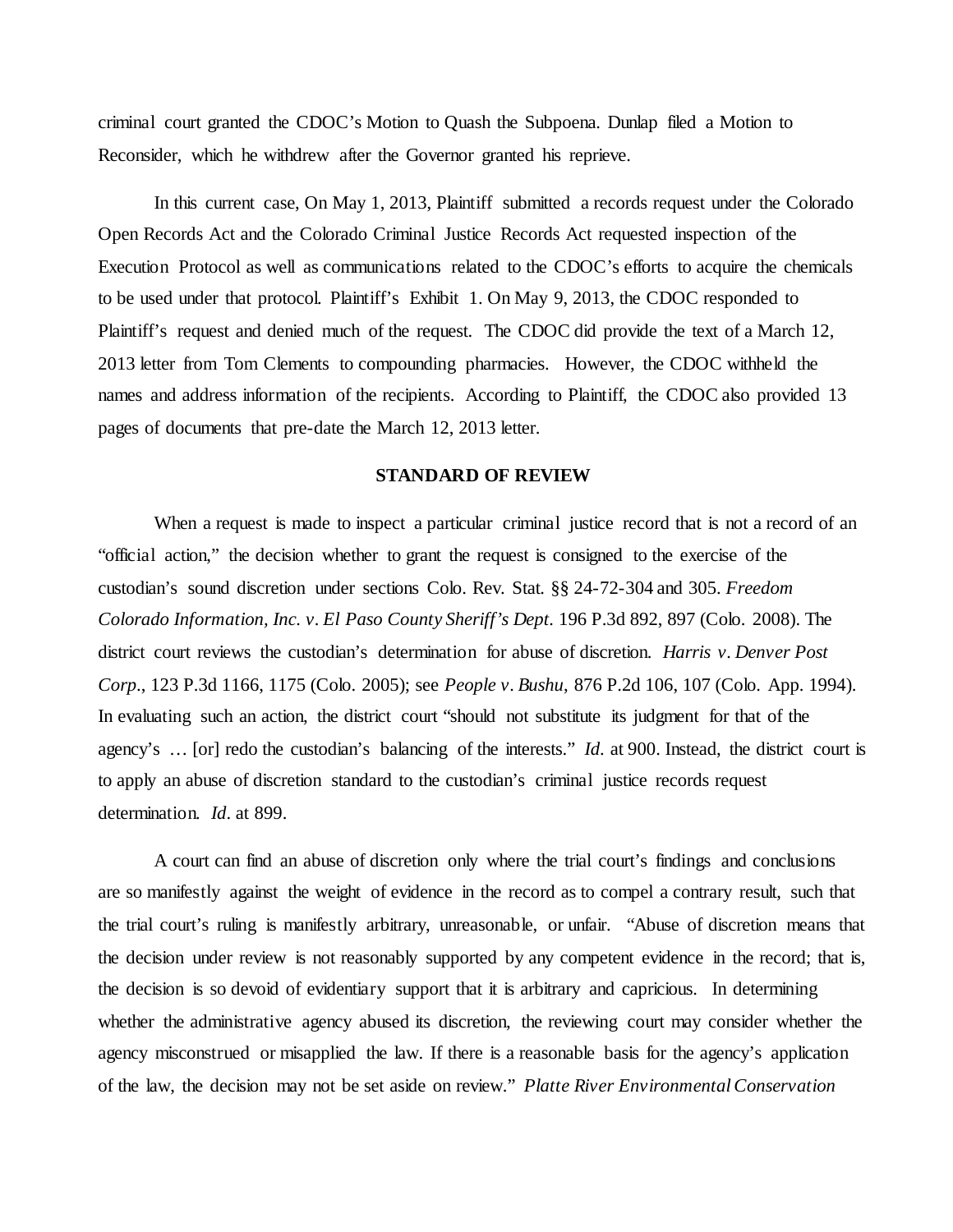criminal court granted the CDOC's Motion to Quash the Subpoena. Dunlap filed a Motion to Reconsider, which he withdrew after the Governor granted his reprieve.

In this current case, On May 1, 2013, Plaintiff submitted a records request under the Colorado Open Records Act and the Colorado Criminal Justice Records Act requested inspection of the Execution Protocol as well as communications related to the CDOC's efforts to acquire the chemicals to be used under that protocol. Plaintiff's Exhibit 1. On May 9, 2013, the CDOC responded to Plaintiff's request and denied much of the request. The CDOC did provide the text of a March 12, 2013 letter from Tom Clements to compounding pharmacies. However, the CDOC withheld the names and address information of the recipients. According to Plaintiff, the CDOC also provided 13 pages of documents that pre-date the March 12, 2013 letter.

#### **STANDARD OF REVIEW**

When a request is made to inspect a particular criminal justice record that is not a record of an "official action," the decision whether to grant the request is consigned to the exercise of the custodian's sound discretion under sections Colo. Rev. Stat. §§ 24-72-304 and 305. *Freedom Colorado Information, Inc. v. El Paso County Sheriff's Dept.* 196 P.3d 892, 897 (Colo. 2008). The district court reviews the custodian's determination for abuse of discretion. *Harris v. Denver Post Corp*., 123 P.3d 1166, 1175 (Colo. 2005); see *People v. Bushu*, 876 P.2d 106, 107 (Colo. App. 1994). In evaluating such an action, the district court "should not substitute its judgment for that of the agency's … [or] redo the custodian's balancing of the interests." *Id*. at 900. Instead, the district court is to apply an abuse of discretion standard to the custodian's criminal justice records request determination*. Id*. at 899.

A court can find an abuse of discretion only where the trial court's findings and conclusions are so manifestly against the weight of evidence in the record as to compel a contrary result, such that the trial court's ruling is manifestly arbitrary, unreasonable, or unfair. "Abuse of discretion means that the decision under review is not reasonably supported by any competent evidence in the record; that is, the decision is so devoid of evidentiary support that it is arbitrary and capricious. In determining whether the administrative agency abused its discretion, the reviewing court may consider whether the agency misconstrued or misapplied the law. If there is a reasonable basis for the agency's application of the law, the decision may not be set aside on review." *Platte River Environmental Conservation*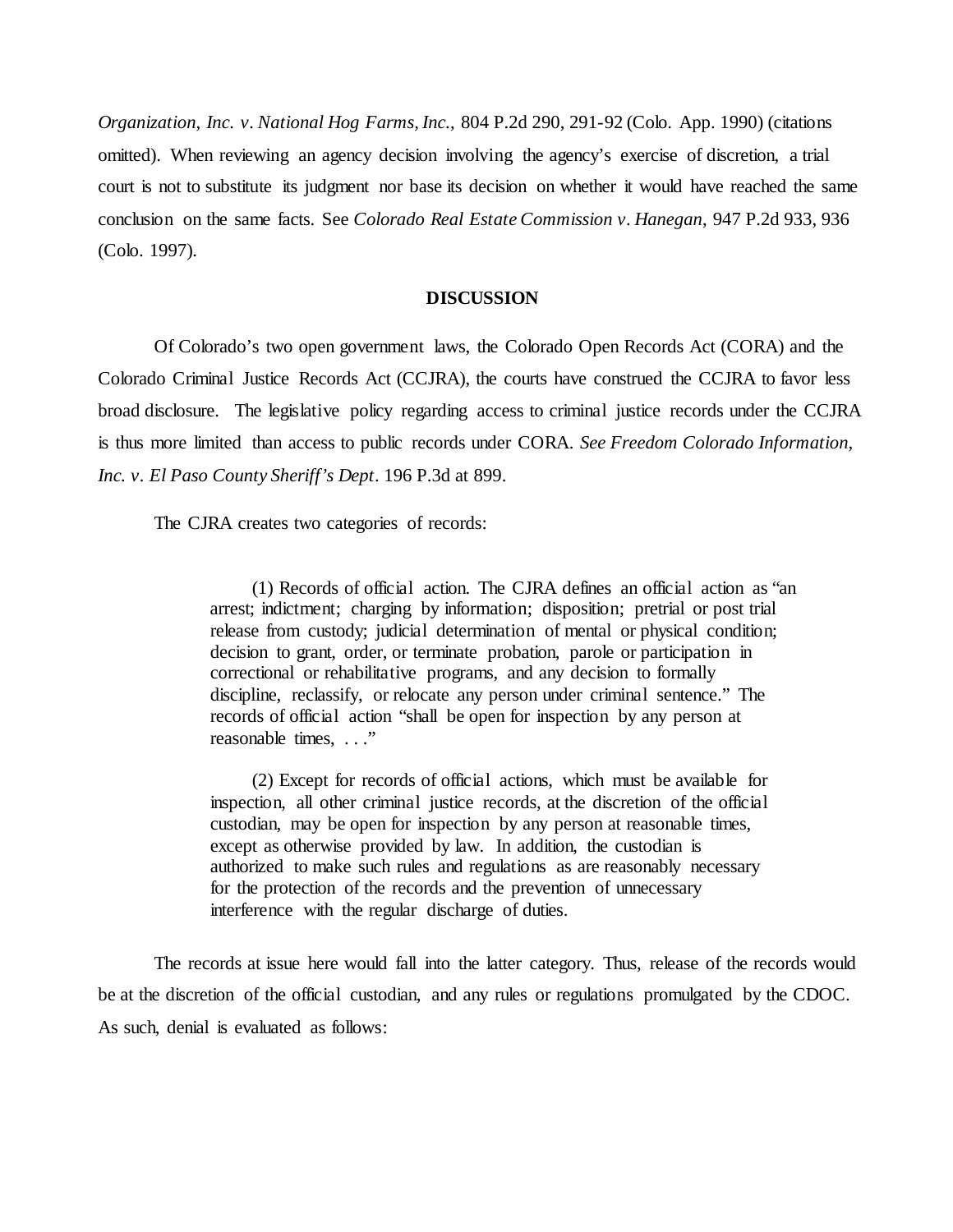*Organization, Inc. v. National Hog Farms, Inc.*, 804 P.2d 290, 291-92 (Colo. App. 1990) (citations omitted). When reviewing an agency decision involving the agency's exercise of discretion, a trial court is not to substitute its judgment nor base its decision on whether it would have reached the same conclusion on the same facts. See *Colorado Real Estate Commission v. Hanegan*, 947 P.2d 933, 936 (Colo. 1997).

#### **DISCUSSION**

Of Colorado's two open government laws, the Colorado Open Records Act (CORA) and the Colorado Criminal Justice Records Act (CCJRA), the courts have construed the CCJRA to favor less broad disclosure. The legislative policy regarding access to criminal justice records under the CCJRA is thus more limited than access to public records under CORA. *See Freedom Colorado Information, Inc. v. El Paso County Sheriff's Dept*. 196 P.3d at 899.

The CJRA creates two categories of records:

(1) Records of official action. The CJRA defines an official action as "an arrest; indictment; charging by information; disposition; pretrial or post trial release from custody; judicial determination of mental or physical condition; decision to grant, order, or terminate probation, parole or participation in correctional or rehabilitative programs, and any decision to formally discipline, reclassify, or relocate any person under criminal sentence." The records of official action "shall be open for inspection by any person at reasonable times, . . ."

(2) Except for records of official actions, which must be available for inspection, all other criminal justice records, at the discretion of the official custodian, may be open for inspection by any person at reasonable times, except as otherwise provided by law. In addition, the custodian is authorized to make such rules and regulations as are reasonably necessary for the protection of the records and the prevention of unnecessary interference with the regular discharge of duties.

The records at issue here would fall into the latter category. Thus, release of the records would be at the discretion of the official custodian, and any rules or regulations promulgated by the CDOC. As such, denial is evaluated as follows: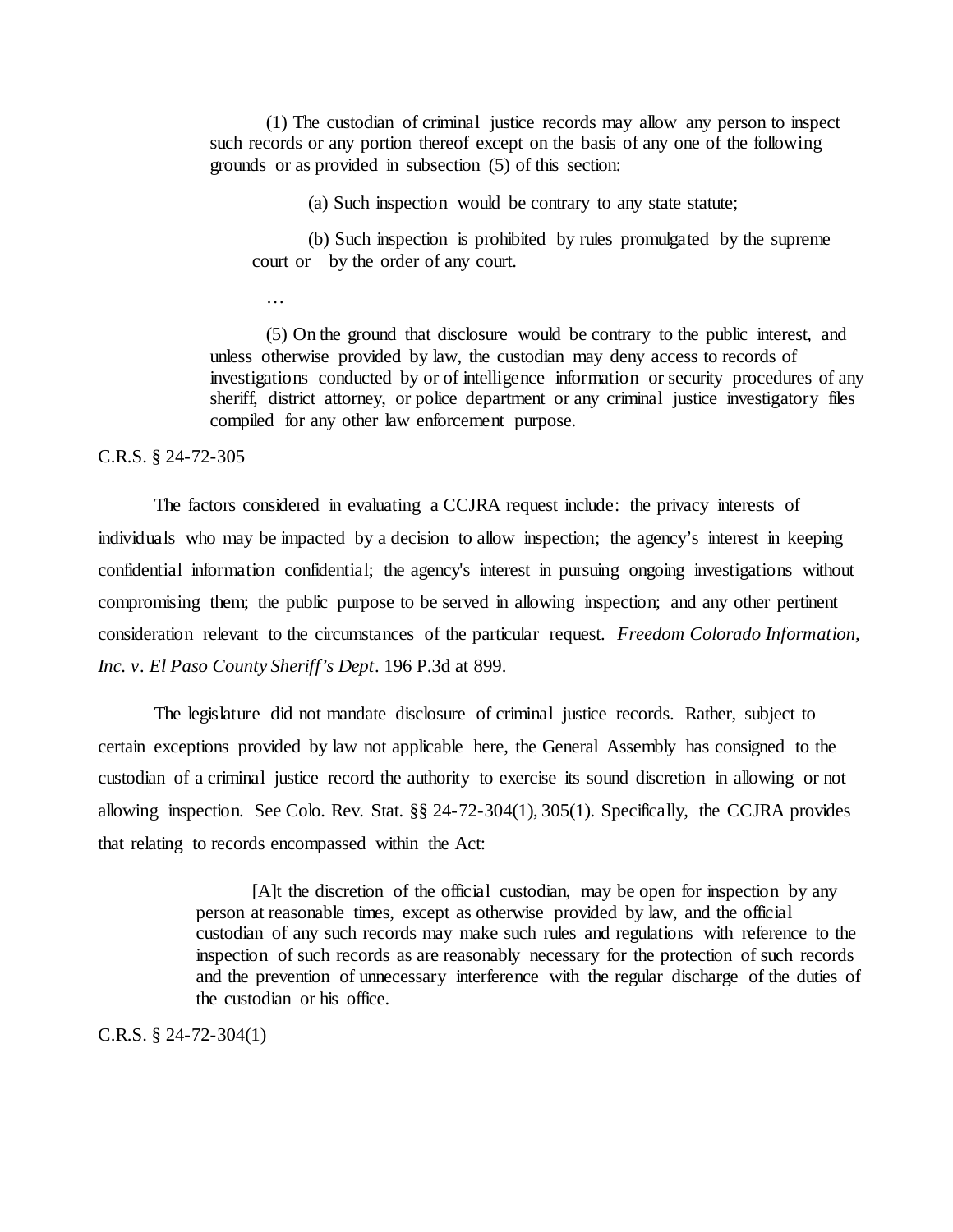(1) The custodian of criminal justice records may allow any person to inspect such records or any portion thereof except on the basis of any one of the following grounds or as provided in subsection (5) of this section:

(a) Such inspection would be contrary to any state statute;

(b) Such inspection is prohibited by rules promulgated by the supreme court or by the order of any court.

…

(5) On the ground that disclosure would be contrary to the public interest, and unless otherwise provided by law, the custodian may deny access to records of investigations conducted by or of intelligence information or security procedures of any sheriff, district attorney, or police department or any criminal justice investigatory files compiled for any other law enforcement purpose.

## C.R.S. § 24-72-305

The factors considered in evaluating a CCJRA request include: the privacy interests of individuals who may be impacted by a decision to allow inspection; the agency's interest in keeping confidential information confidential; the agency's interest in pursuing ongoing investigations without compromising them; the public purpose to be served in allowing inspection; and any other pertinent consideration relevant to the circumstances of the particular request. *Freedom Colorado Information, Inc. v. El Paso County Sheriff's Dept*. 196 P.3d at 899.

The legislature did not mandate disclosure of criminal justice records. Rather, subject to certain exceptions provided by law not applicable here, the General Assembly has consigned to the custodian of a criminal justice record the authority to exercise its sound discretion in allowing or not allowing inspection. See Colo. Rev. Stat. §§ 24-72-304(1), 305(1). Specifically, the CCJRA provides that relating to records encompassed within the Act:

> [A]t the discretion of the official custodian, may be open for inspection by any person at reasonable times, except as otherwise provided by law, and the official custodian of any such records may make such rules and regulations with reference to the inspection of such records as are reasonably necessary for the protection of such records and the prevention of unnecessary interference with the regular discharge of the duties of the custodian or his office.

## C.R.S. § 24-72-304(1)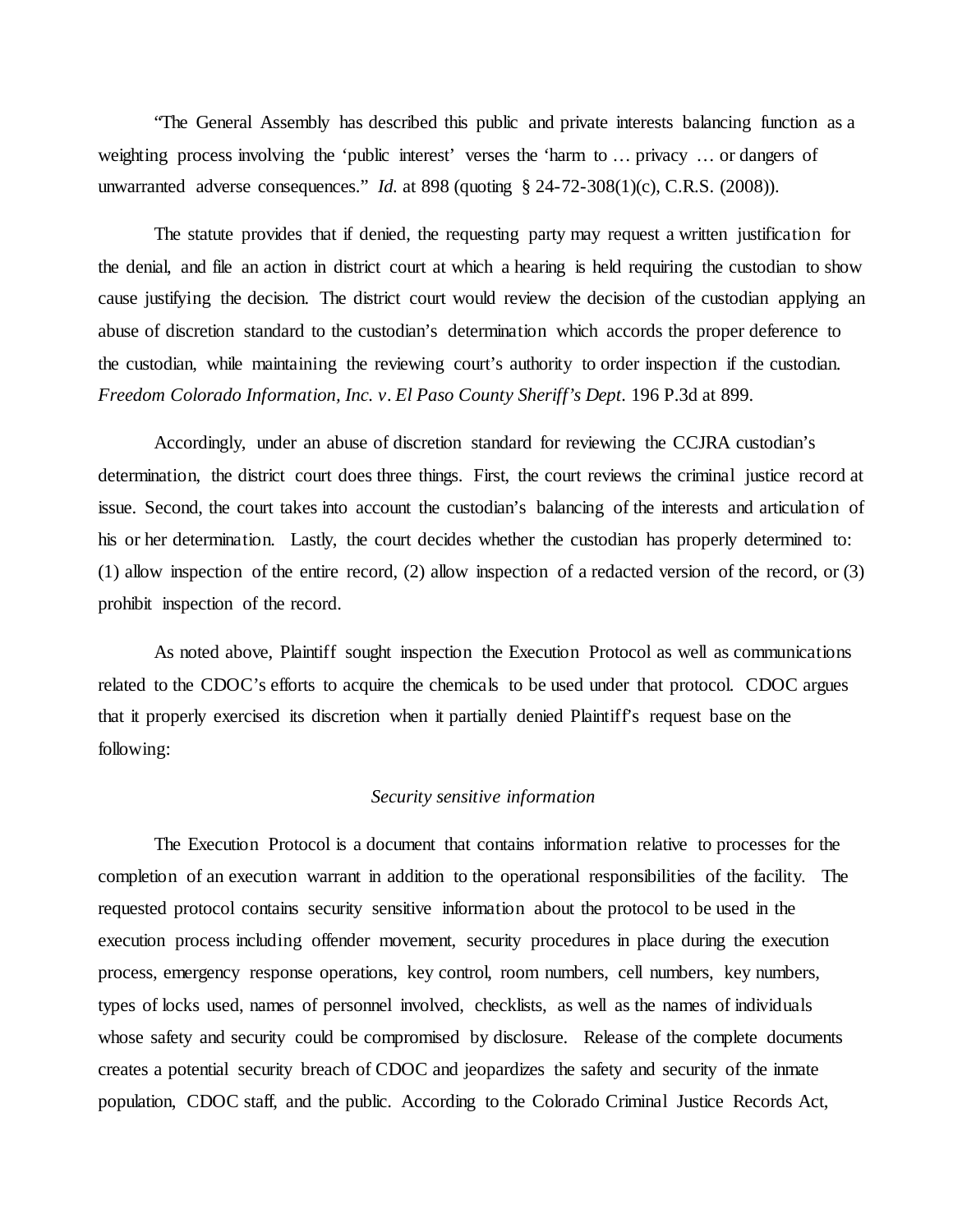"The General Assembly has described this public and private interests balancing function as a weighting process involving the 'public interest' verses the 'harm to … privacy … or dangers of unwarranted adverse consequences." *Id.* at 898 (quoting § 24-72-308(1)(c), C.R.S. (2008)).

The statute provides that if denied, the requesting party may request a written justification for the denial, and file an action in district court at which a hearing is held requiring the custodian to show cause justifying the decision. The district court would review the decision of the custodian applying an abuse of discretion standard to the custodian's determination which accords the proper deference to the custodian, while maintaining the reviewing court's authority to order inspection if the custodian. *Freedom Colorado Information, Inc. v. El Paso County Sheriff's Dept.* 196 P.3d at 899.

Accordingly, under an abuse of discretion standard for reviewing the CCJRA custodian's determination, the district court does three things. First, the court reviews the criminal justice record at issue. Second, the court takes into account the custodian's balancing of the interests and articulation of his or her determination. Lastly, the court decides whether the custodian has properly determined to: (1) allow inspection of the entire record, (2) allow inspection of a redacted version of the record, or (3) prohibit inspection of the record.

As noted above, Plaintiff sought inspection the Execution Protocol as well as communications related to the CDOC's efforts to acquire the chemicals to be used under that protocol. CDOC argues that it properly exercised its discretion when it partially denied Plaintiff's request base on the following:

## *Security sensitive information*

The Execution Protocol is a document that contains information relative to processes for the completion of an execution warrant in addition to the operational responsibilities of the facility. The requested protocol contains security sensitive information about the protocol to be used in the execution process including offender movement, security procedures in place during the execution process, emergency response operations, key control, room numbers, cell numbers, key numbers, types of locks used, names of personnel involved, checklists, as well as the names of individuals whose safety and security could be compromised by disclosure. Release of the complete documents creates a potential security breach of CDOC and jeopardizes the safety and security of the inmate population, CDOC staff, and the public. According to the Colorado Criminal Justice Records Act,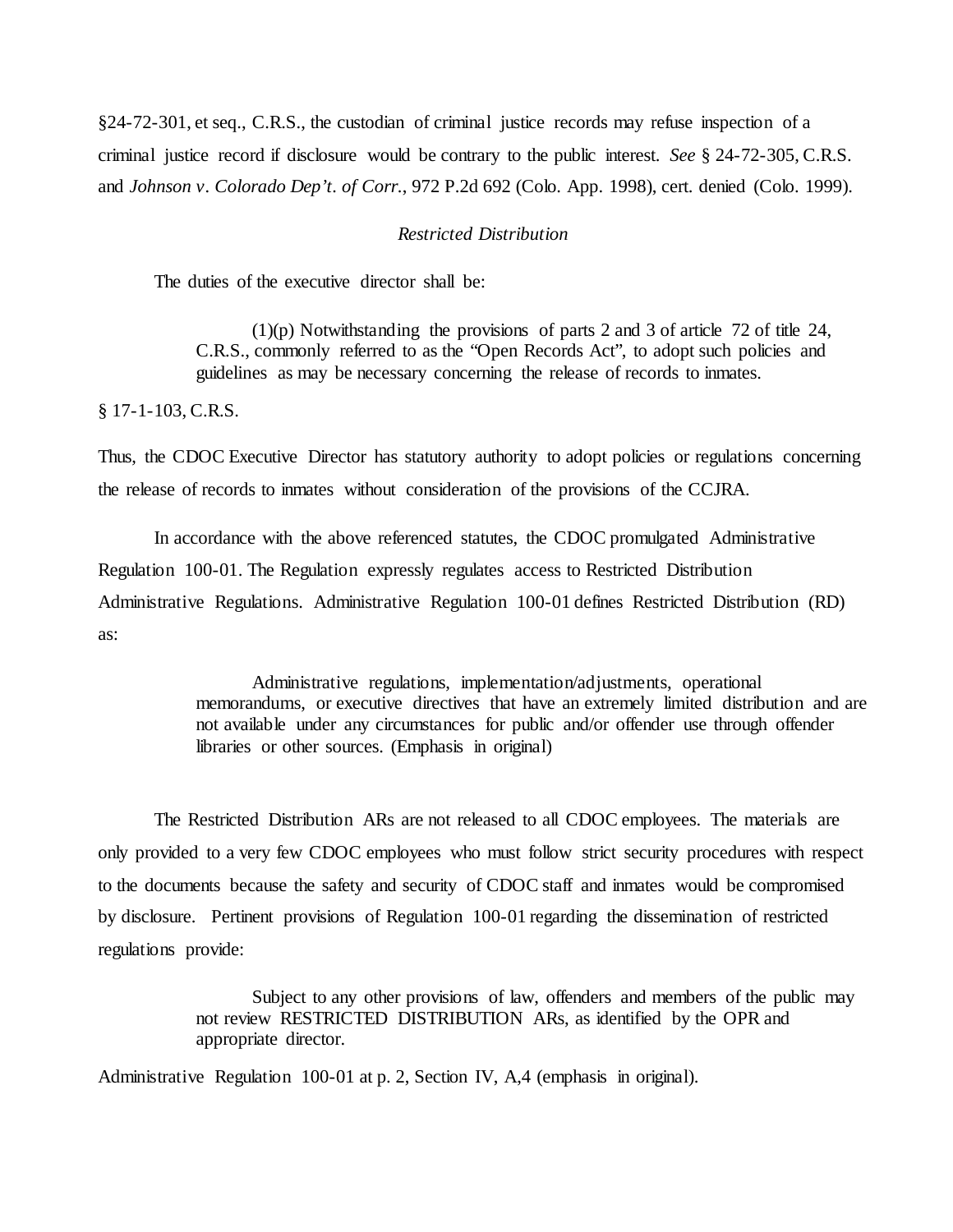§24-72-301, et seq., C.R.S., the custodian of criminal justice records may refuse inspection of a criminal justice record if disclosure would be contrary to the public interest. *See* § 24-72-305, C.R.S. and *Johnson v. Colorado Dep't. of Corr.*, 972 P.2d 692 (Colo. App. 1998), cert. denied (Colo. 1999).

## *Restricted Distribution*

The duties of the executive director shall be:

 $(1)(p)$  Notwithstanding the provisions of parts 2 and 3 of article 72 of title 24, C.R.S., commonly referred to as the "Open Records Act", to adopt such policies and guidelines as may be necessary concerning the release of records to inmates.

§ 17-1-103, C.R.S.

Thus, the CDOC Executive Director has statutory authority to adopt policies or regulations concerning the release of records to inmates without consideration of the provisions of the CCJRA.

In accordance with the above referenced statutes, the CDOC promulgated Administrative Regulation 100-01. The Regulation expressly regulates access to Restricted Distribution Administrative Regulations. Administrative Regulation 100-01 defines Restricted Distribution (RD) as:

> Administrative regulations, implementation/adjustments, operational memorandums, or executive directives that have an extremely limited distribution and are not available under any circumstances for public and/or offender use through offender libraries or other sources. (Emphasis in original)

The Restricted Distribution ARs are not released to all CDOC employees. The materials are only provided to a very few CDOC employees who must follow strict security procedures with respect to the documents because the safety and security of CDOC staff and inmates would be compromised by disclosure. Pertinent provisions of Regulation 100-01 regarding the dissemination of restricted regulations provide:

> Subject to any other provisions of law, offenders and members of the public may not review RESTRICTED DISTRIBUTION ARs, as identified by the OPR and appropriate director.

Administrative Regulation 100-01 at p. 2, Section IV, A,4 (emphasis in original).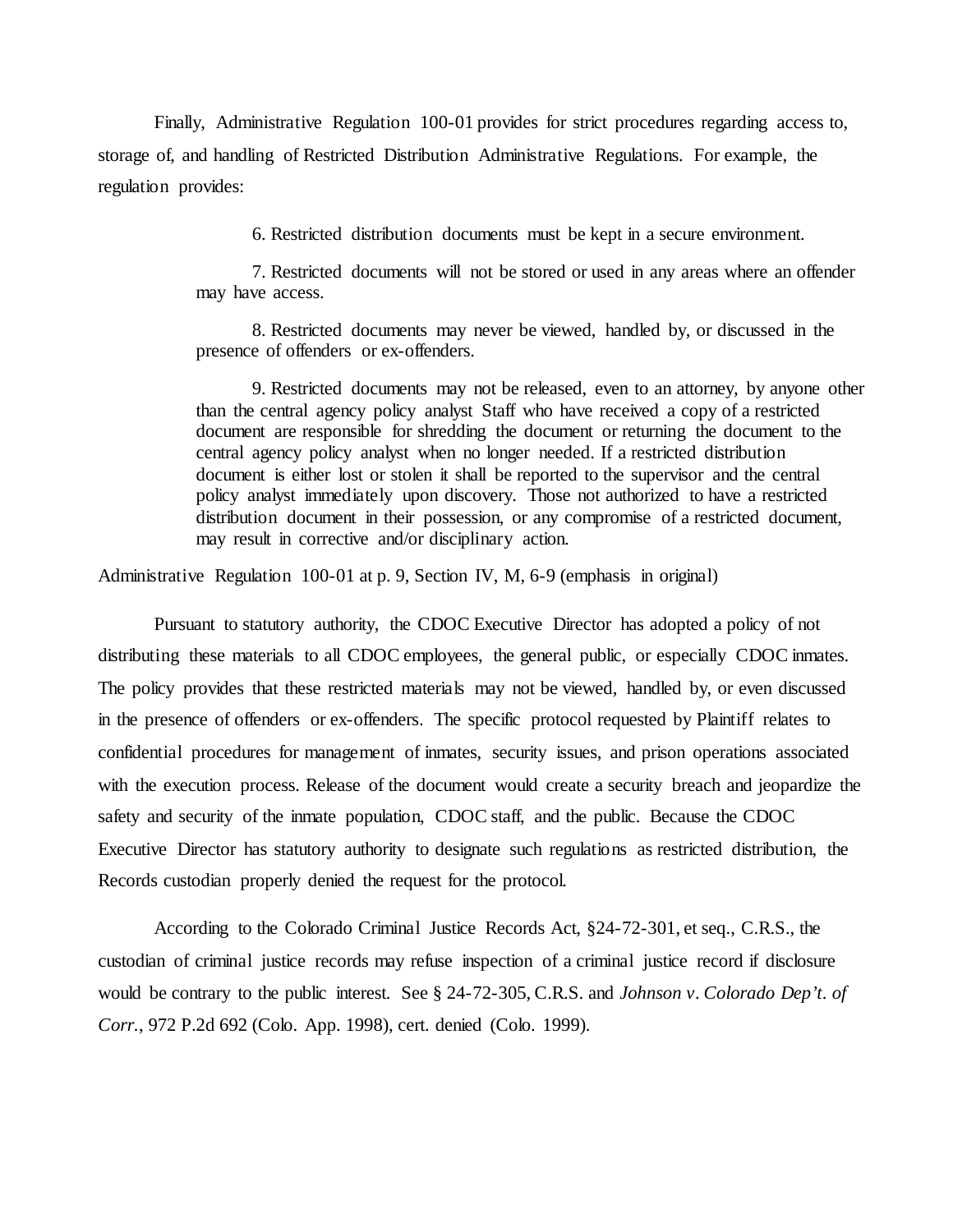Finally, Administrative Regulation 100-01 provides for strict procedures regarding access to, storage of, and handling of Restricted Distribution Administrative Regulations. For example, the regulation provides:

6. Restricted distribution documents must be kept in a secure environment.

7. Restricted documents will not be stored or used in any areas where an offender may have access.

8. Restricted documents may never be viewed, handled by, or discussed in the presence of offenders or ex-offenders.

9. Restricted documents may not be released, even to an attorney, by anyone other than the central agency policy analyst Staff who have received a copy of a restricted document are responsible for shredding the document or returning the document to the central agency policy analyst when no longer needed. If a restricted distribution document is either lost or stolen it shall be reported to the supervisor and the central policy analyst immediately upon discovery. Those not authorized to have a restricted distribution document in their possession, or any compromise of a restricted document, may result in corrective and/or disciplinary action.

Administrative Regulation 100-01 at p. 9, Section IV, M, 6-9 (emphasis in original)

Pursuant to statutory authority, the CDOC Executive Director has adopted a policy of not distributing these materials to all CDOC employees, the general public, or especially CDOC inmates. The policy provides that these restricted materials may not be viewed, handled by, or even discussed in the presence of offenders or ex-offenders. The specific protocol requested by Plaintiff relates to confidential procedures for management of inmates, security issues, and prison operations associated with the execution process. Release of the document would create a security breach and jeopardize the safety and security of the inmate population, CDOC staff, and the public. Because the CDOC Executive Director has statutory authority to designate such regulations as restricted distribution, the Records custodian properly denied the request for the protocol.

According to the Colorado Criminal Justice Records Act, §24-72-301, et seq., C.R.S., the custodian of criminal justice records may refuse inspection of a criminal justice record if disclosure would be contrary to the public interest. See § 24-72-305, C.R.S. and *Johnson v. Colorado Dep't. of Corr.*, 972 P.2d 692 (Colo. App. 1998), cert. denied (Colo. 1999).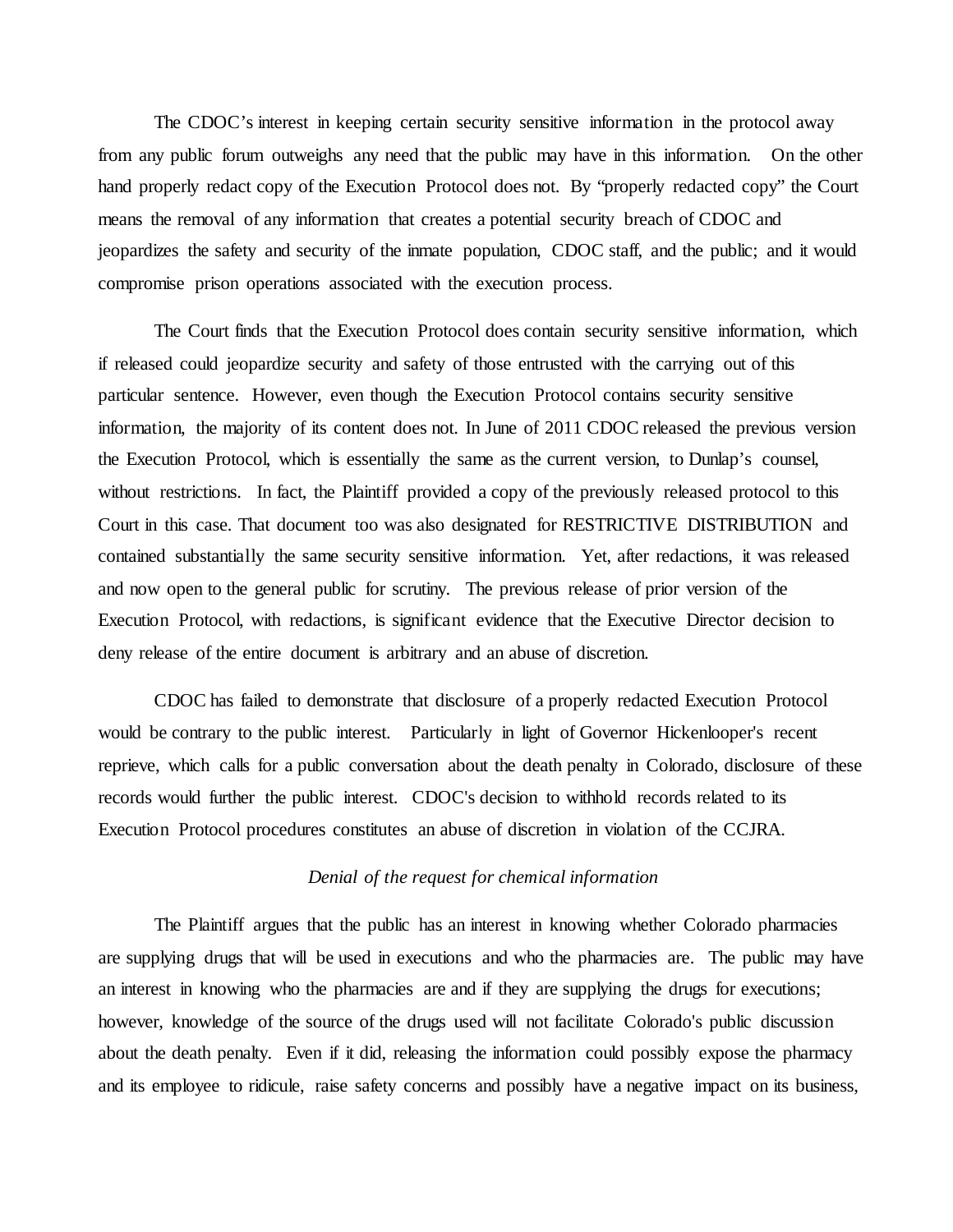The CDOC's interest in keeping certain security sensitive information in the protocol away from any public forum outweighs any need that the public may have in this information. On the other hand properly redact copy of the Execution Protocol does not. By "properly redacted copy" the Court means the removal of any information that creates a potential security breach of CDOC and jeopardizes the safety and security of the inmate population, CDOC staff, and the public; and it would compromise prison operations associated with the execution process.

The Court finds that the Execution Protocol does contain security sensitive information, which if released could jeopardize security and safety of those entrusted with the carrying out of this particular sentence. However, even though the Execution Protocol contains security sensitive information, the majority of its content does not. In June of 2011 CDOC released the previous version the Execution Protocol, which is essentially the same as the current version, to Dunlap's counsel, without restrictions. In fact, the Plaintiff provided a copy of the previously released protocol to this Court in this case. That document too was also designated for RESTRICTIVE DISTRIBUTION and contained substantially the same security sensitive information. Yet, after redactions, it was released and now open to the general public for scrutiny. The previous release of prior version of the Execution Protocol, with redactions, is significant evidence that the Executive Director decision to deny release of the entire document is arbitrary and an abuse of discretion.

CDOC has failed to demonstrate that disclosure of a properly redacted Execution Protocol would be contrary to the public interest. Particularly in light of Governor Hickenlooper's recent reprieve, which calls for a public conversation about the death penalty in Colorado, disclosure of these records would further the public interest. CDOC's decision to withhold records related to its Execution Protocol procedures constitutes an abuse of discretion in violation of the CCJRA.

## *Denial of the request for chemical information*

The Plaintiff argues that the public has an interest in knowing whether Colorado pharmacies are supplying drugs that will be used in executions and who the pharmacies are. The public may have an interest in knowing who the pharmacies are and if they are supplying the drugs for executions; however, knowledge of the source of the drugs used will not facilitate Colorado's public discussion about the death penalty. Even if it did, releasing the information could possibly expose the pharmacy and its employee to ridicule, raise safety concerns and possibly have a negative impact on its business,